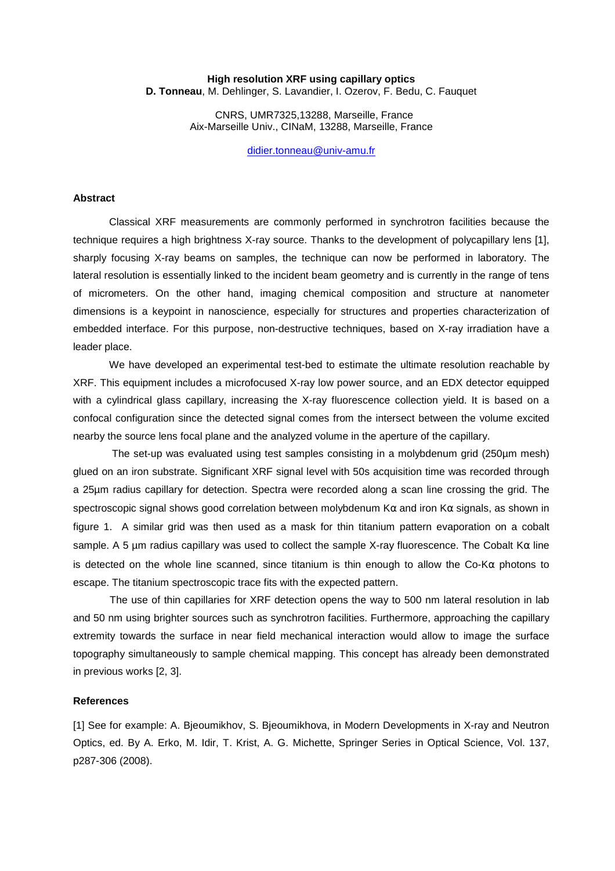## **High resolution XRF using capillary optics**

**D. Tonneau**, M. Dehlinger, S. Lavandier, I. Ozerov, F. Bedu, C. Fauquet

 CNRS, UMR7325,13288, Marseille, France Aix-Marseille Univ., CINaM, 13288, Marseille, France

didier.tonneau@univ-amu.fr

## **Abstract**

Classical XRF measurements are commonly performed in synchrotron facilities because the technique requires a high brightness X-ray source. Thanks to the development of polycapillary lens [1], sharply focusing X-ray beams on samples, the technique can now be performed in laboratory. The lateral resolution is essentially linked to the incident beam geometry and is currently in the range of tens of micrometers. On the other hand, imaging chemical composition and structure at nanometer dimensions is a keypoint in nanoscience, especially for structures and properties characterization of embedded interface. For this purpose, non-destructive techniques, based on X-ray irradiation have a leader place.

We have developed an experimental test-bed to estimate the ultimate resolution reachable by XRF. This equipment includes a microfocused X-ray low power source, and an EDX detector equipped with a cylindrical glass capillary, increasing the X-ray fluorescence collection yield. It is based on a confocal configuration since the detected signal comes from the intersect between the volume excited nearby the source lens focal plane and the analyzed volume in the aperture of the capillary.

 The set-up was evaluated using test samples consisting in a molybdenum grid (250µm mesh) glued on an iron substrate. Significant XRF signal level with 50s acquisition time was recorded through a 25µm radius capillary for detection. Spectra were recorded along a scan line crossing the grid. The spectroscopic signal shows good correlation between molybdenum K $\alpha$  and iron K $\alpha$  signals, as shown in figure 1. A similar grid was then used as a mask for thin titanium pattern evaporation on a cobalt sample. A 5 µm radius capillary was used to collect the sample X-ray fluorescence. The Cobalt  $K\alpha$  line is detected on the whole line scanned, since titanium is thin enough to allow the Co-K $\alpha$  photons to escape. The titanium spectroscopic trace fits with the expected pattern.

 The use of thin capillaries for XRF detection opens the way to 500 nm lateral resolution in lab and 50 nm using brighter sources such as synchrotron facilities. Furthermore, approaching the capillary extremity towards the surface in near field mechanical interaction would allow to image the surface topography simultaneously to sample chemical mapping. This concept has already been demonstrated in previous works [2, 3].

## **References**

[1] See for example: A. Bjeoumikhov, S. Bjeoumikhova, in Modern Developments in X-ray and Neutron Optics, ed. By A. Erko, M. Idir, T. Krist, A. G. Michette, Springer Series in Optical Science, Vol. 137, p287-306 (2008).